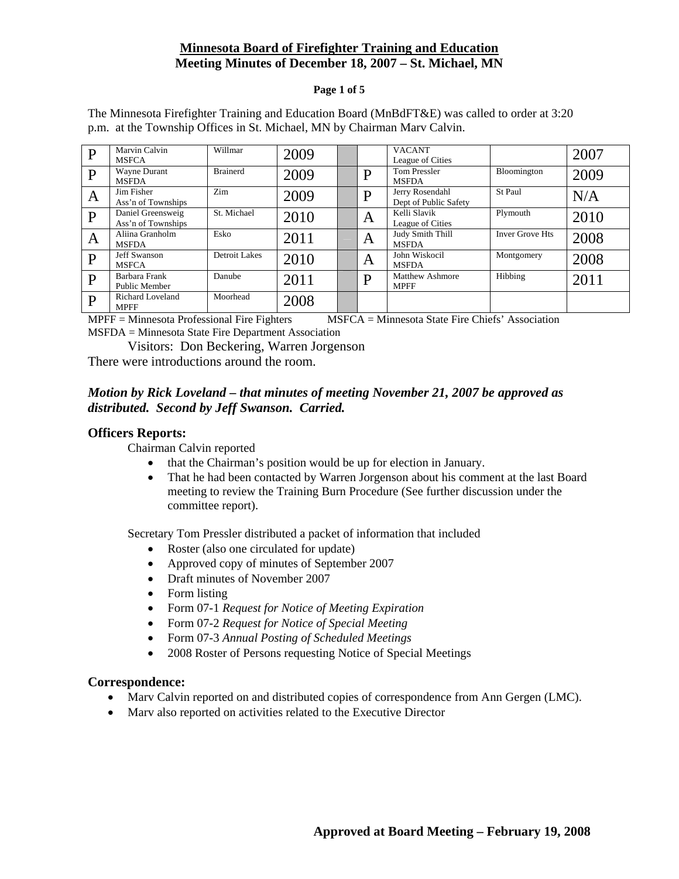#### **Minnesota Board of Firefighter Training and Education Meeting Minutes of December 18, 2007 – St. Michael, MN**

#### **Page 1 of 5**

| P            | Marvin Calvin           | Willmar         | 2009 |   | <b>VACANT</b>          |                        | 2007 |
|--------------|-------------------------|-----------------|------|---|------------------------|------------------------|------|
|              | <b>MSFCA</b>            |                 |      |   | League of Cities       |                        |      |
| $\mathbf{P}$ | Wayne Durant            | <b>Brainerd</b> | 2009 | D | <b>Tom Pressler</b>    | Bloomington            | 2009 |
|              | <b>MSFDA</b>            |                 |      |   | <b>MSFDA</b>           |                        |      |
|              | Jim Fisher              | Zim             | 2009 | D | Jerry Rosendahl        | St Paul                | N/A  |
| A            | Ass'n of Townships      |                 |      |   | Dept of Public Safety  |                        |      |
| $\mathbf{P}$ | Daniel Greensweig       | St. Michael     | 2010 |   | Kelli Slavik           | Plymouth               | 2010 |
|              | Ass'n of Townships      |                 |      | A | League of Cities       |                        |      |
|              | Aliina Granholm         | Esko            | 2011 |   | Judy Smith Thill       | <b>Inver Grove Hts</b> | 2008 |
| A            | <b>MSFDA</b>            |                 |      | Α | <b>MSFDA</b>           |                        |      |
| P            | <b>Jeff Swanson</b>     | Detroit Lakes   | 2010 |   | John Wiskocil          | Montgomery             | 2008 |
|              | <b>MSFCA</b>            |                 |      | A | <b>MSFDA</b>           |                        |      |
| P            | Barbara Frank           | Danube          | 2011 | D | <b>Matthew Ashmore</b> | Hibbing                | 2011 |
|              | Public Member           |                 |      |   | <b>MPFF</b>            |                        |      |
| P            | <b>Richard Loveland</b> | Moorhead        | 2008 |   |                        |                        |      |
|              | <b>MPFF</b>             |                 |      |   |                        |                        |      |

The Minnesota Firefighter Training and Education Board (MnBdFT&E) was called to order at 3:20 p.m. at the Township Offices in St. Michael, MN by Chairman Marv Calvin.

MPFF = Minnesota Professional Fire Fighters MSFCA = Minnesota State Fire Chiefs' Association MSFDA = Minnesota State Fire Department Association

Visitors: Don Beckering, Warren Jorgenson

There were introductions around the room.

#### *Motion by Rick Loveland – that minutes of meeting November 21, 2007 be approved as distributed. Second by Jeff Swanson. Carried.*

#### **Officers Reports:**

Chairman Calvin reported

- that the Chairman's position would be up for election in January.
- That he had been contacted by Warren Jorgenson about his comment at the last Board meeting to review the Training Burn Procedure (See further discussion under the committee report).

Secretary Tom Pressler distributed a packet of information that included

- Roster (also one circulated for update)
- Approved copy of minutes of September 2007
- Draft minutes of November 2007
- Form listing
- Form 07-1 *Request for Notice of Meeting Expiration*
- Form 07-2 *Request for Notice of Special Meeting*
- Form 07-3 *Annual Posting of Scheduled Meetings*
- 2008 Roster of Persons requesting Notice of Special Meetings

#### **Correspondence:**

- Marv Calvin reported on and distributed copies of correspondence from Ann Gergen (LMC).
- Marv also reported on activities related to the Executive Director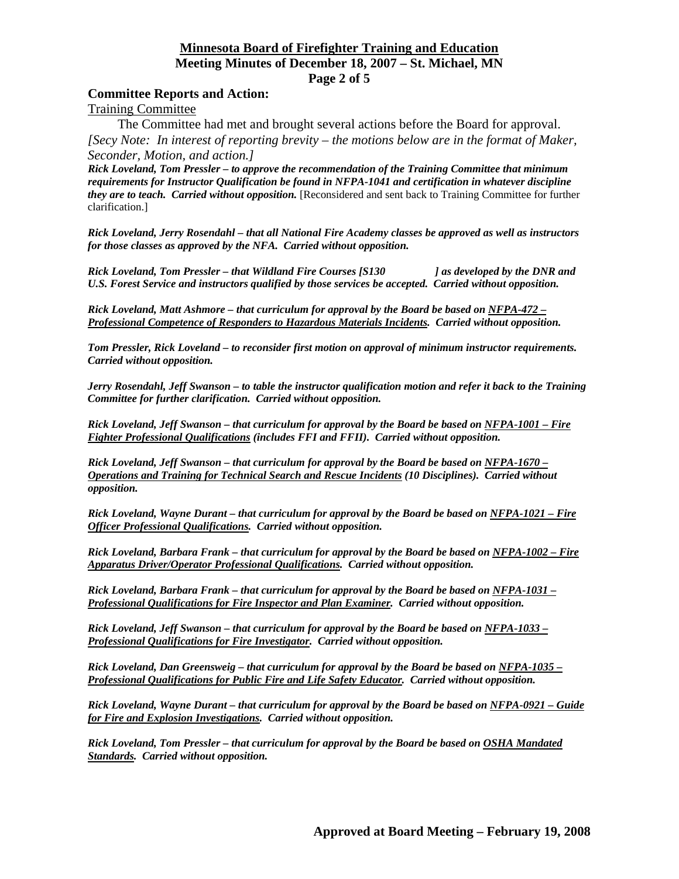#### **Minnesota Board of Firefighter Training and Education Meeting Minutes of December 18, 2007 – St. Michael, MN Page 2 of 5**

#### **Committee Reports and Action:**

Training Committee

The Committee had met and brought several actions before the Board for approval. *[Secy Note: In interest of reporting brevity – the motions below are in the format of Maker, Seconder, Motion, and action.]* 

*Rick Loveland, Tom Pressler – to approve the recommendation of the Training Committee that minimum requirements for Instructor Qualification be found in NFPA-1041 and certification in whatever discipline they are to teach. Carried without opposition.* [Reconsidered and sent back to Training Committee for further clarification.]

*Rick Loveland, Jerry Rosendahl – that all National Fire Academy classes be approved as well as instructors for those classes as approved by the NFA. Carried without opposition.* 

*Rick Loveland, Tom Pressler – that Wildland Fire Courses [S130 ] as developed by the DNR and U.S. Forest Service and instructors qualified by those services be accepted. Carried without opposition.* 

*Rick Loveland, Matt Ashmore – that curriculum for approval by the Board be based on NFPA-472 – Professional Competence of Responders to Hazardous Materials Incidents. Carried without opposition.* 

*Tom Pressler, Rick Loveland – to reconsider first motion on approval of minimum instructor requirements. Carried without opposition.* 

*Jerry Rosendahl, Jeff Swanson – to table the instructor qualification motion and refer it back to the Training Committee for further clarification. Carried without opposition.* 

*Rick Loveland, Jeff Swanson – that curriculum for approval by the Board be based on NFPA-1001 – Fire Fighter Professional Qualifications (includes FFI and FFII). Carried without opposition.* 

*Rick Loveland, Jeff Swanson – that curriculum for approval by the Board be based on NFPA-1670 – Operations and Training for Technical Search and Rescue Incidents (10 Disciplines). Carried without opposition.* 

*Rick Loveland, Wayne Durant – that curriculum for approval by the Board be based on NFPA-1021 – Fire Officer Professional Qualifications. Carried without opposition.* 

*Rick Loveland, Barbara Frank – that curriculum for approval by the Board be based on NFPA-1002 – Fire Apparatus Driver/Operator Professional Qualifications. Carried without opposition.* 

*Rick Loveland, Barbara Frank – that curriculum for approval by the Board be based on NFPA-1031 – Professional Qualifications for Fire Inspector and Plan Examiner. Carried without opposition.* 

*Rick Loveland, Jeff Swanson – that curriculum for approval by the Board be based on NFPA-1033 – Professional Qualifications for Fire Investigator. Carried without opposition.* 

*Rick Loveland, Dan Greensweig – that curriculum for approval by the Board be based on NFPA-1035 – Professional Qualifications for Public Fire and Life Safety Educator. Carried without opposition.* 

*Rick Loveland, Wayne Durant – that curriculum for approval by the Board be based on NFPA-0921 – Guide for Fire and Explosion Investigations. Carried without opposition.* 

*Rick Loveland, Tom Pressler – that curriculum for approval by the Board be based on OSHA Mandated Standards. Carried without opposition.*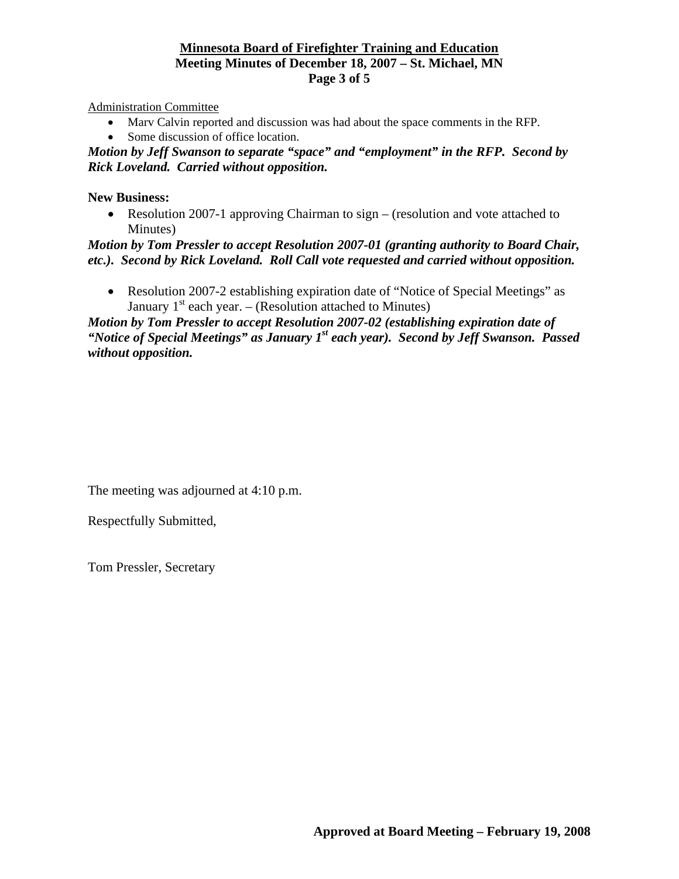#### **Minnesota Board of Firefighter Training and Education Meeting Minutes of December 18, 2007 – St. Michael, MN Page 3 of 5**

Administration Committee

- Marv Calvin reported and discussion was had about the space comments in the RFP.
- Some discussion of office location.

*Motion by Jeff Swanson to separate "space" and "employment" in the RFP. Second by Rick Loveland. Carried without opposition.*

#### **New Business:**

• Resolution 2007-1 approving Chairman to sign – (resolution and vote attached to Minutes)

*Motion by Tom Pressler to accept Resolution 2007-01 (granting authority to Board Chair, etc.). Second by Rick Loveland. Roll Call vote requested and carried without opposition.*

• Resolution 2007-2 establishing expiration date of "Notice of Special Meetings" as January  $1<sup>st</sup>$  each year. – (Resolution attached to Minutes)

*Motion by Tom Pressler to accept Resolution 2007-02 (establishing expiration date of "Notice of Special Meetings" as January 1st each year). Second by Jeff Swanson. Passed without opposition.*

The meeting was adjourned at 4:10 p.m.

Respectfully Submitted,

Tom Pressler, Secretary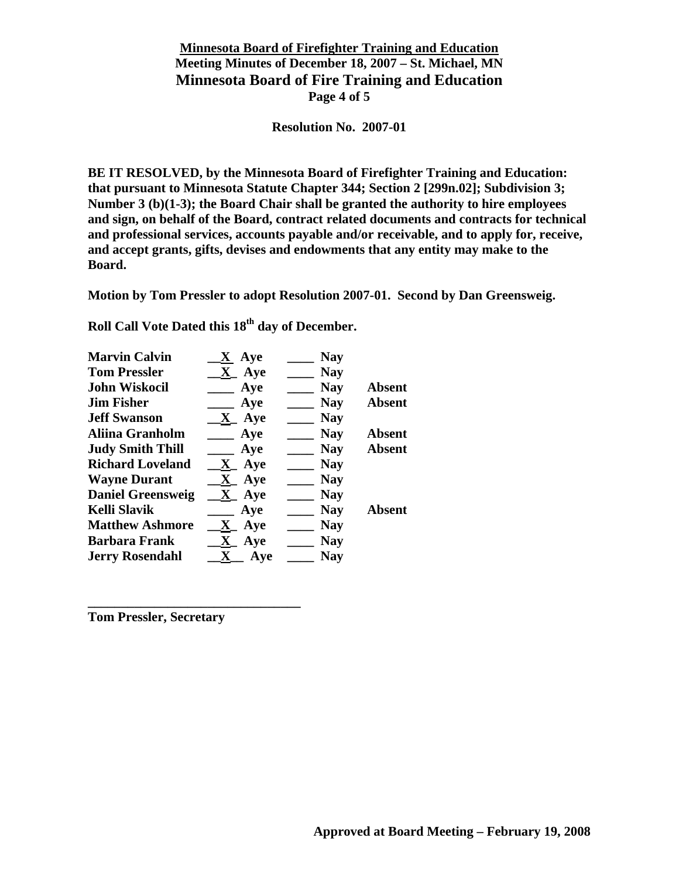## **Minnesota Board of Firefighter Training and Education Meeting Minutes of December 18, 2007 – St. Michael, MN Minnesota Board of Fire Training and Education Page 4 of 5**

**Resolution No. 2007-01** 

**BE IT RESOLVED, by the Minnesota Board of Firefighter Training and Education: that pursuant to Minnesota Statute Chapter 344; Section 2 [299n.02]; Subdivision 3; Number 3 (b)(1-3); the Board Chair shall be granted the authority to hire employees and sign, on behalf of the Board, contract related documents and contracts for technical and professional services, accounts payable and/or receivable, and to apply for, receive, and accept grants, gifts, devises and endowments that any entity may make to the Board.** 

**Motion by Tom Pressler to adopt Resolution 2007-01. Second by Dan Greensweig.** 

Roll Call Vote Dated this 18<sup>th</sup> day of December.

| <b>Nay</b> |               |
|------------|---------------|
| <b>Nay</b> | <b>Absent</b> |
| <b>Nay</b> | <b>Absent</b> |
| <b>Nay</b> |               |
| <b>Nay</b> | <b>Absent</b> |
| <b>Nay</b> | <b>Absent</b> |
| <b>Nay</b> |               |
| <b>Nay</b> |               |
| <b>Nay</b> |               |
| <b>Nay</b> | <b>Absent</b> |
| <b>Nay</b> |               |
| <b>Nay</b> |               |
| <b>Nay</b> |               |
|            | <b>Nay</b>    |

**Tom Pressler, Secretary** 

**\_\_\_\_\_\_\_\_\_\_\_\_\_\_\_\_\_\_\_\_\_\_\_\_\_\_\_\_\_\_\_\_**